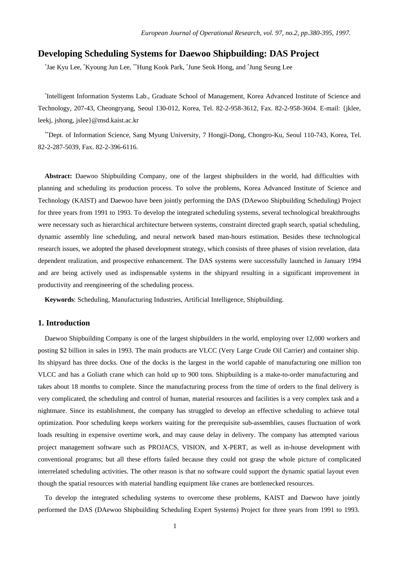# **Developing Scheduling Systems for Daewoo Shipbuilding: DAS Project**

\* Jae Kyu Lee, \*Kyoung Jun Lee, \*\*Hung Kook Park, \* June Seok Hong, and \* Jung Seung Lee

\* Intelligent Information Systems Lab., Graduate School of Management, Korea Advanced Institute of Science and Technology, 207-43, Cheongryang, Seoul 130-012, Korea, Tel. 82-2-958-3612, Fax. 82-2-958-3604. E-mail: {jklee, leekj, jshong, jslee}@msd.kaist.ac.kr

\*\*Dept. of Information Science, Sang Myung University, 7 Hongji-Dong, Chongro-Ku, Seoul 110-743, Korea, Tel. 82-2-287-5039, Fax. 82-2-396-6116.

**Abstract:** Daewoo Shipbuilding Company, one of the largest shipbuilders in the world, had difficulties with planning and scheduling its production process. To solve the problems, Korea Advanced Institute of Science and Technology (KAIST) and Daewoo have been jointly performing the DAS (DAewoo Shipbuilding Scheduling) Project for three years from 1991 to 1993. To develop the integrated scheduling systems, several technological breakthroughs were necessary such as hierarchical architecture between systems, constraint directed graph search, spatial scheduling, dynamic assembly line scheduling, and neural network based man-hours estimation. Besides these technological research issues, we adopted the phased development strategy, which consists of three phases of vision revelation, data dependent realization, and prospective enhancement. The DAS systems were successfully launched in January 1994 and are being actively used as indispensable systems in the shipyard resulting in a significant improvement in productivity and reengineering of the scheduling process.

**Keywords**: Scheduling, Manufacturing Industries, Artificial Intelligence, Shipbuilding.

## **1. Introduction**

Daewoo Shipbuilding Company is one of the largest shipbuilders in the world, employing over 12,000 workers and posting \$2 billion in sales in 1993. The main products are VLCC (Very Large Crude Oil Carrier) and container ship. Its shipyard has three docks. One of the docks is the largest in the world capable of manufacturing one million ton VLCC and has a Goliath crane which can hold up to 900 tons. Shipbuilding is a make-to-order manufacturing and takes about 18 months to complete. Since the manufacturing process from the time of orders to the final delivery is very complicated, the scheduling and control of human, material resources and facilities is a very complex task and a nightmare. Since its establishment, the company has struggled to develop an effective scheduling to achieve total optimization. Poor scheduling keeps workers waiting for the prerequisite sub-assemblies, causes fluctuation of work loads resulting in expensive overtime work, and may cause delay in delivery. The company has attempted various project management software such as PROJACS, VISION, and X-PERT, as well as in-house development with conventional programs; but all these efforts failed because they could not grasp the whole picture of complicated interrelated scheduling activities. The other reason is that no software could support the dynamic spatial layout even though the spatial resources with material handling equipment like cranes are bottlenecked resources.

To develop the integrated scheduling systems to overcome these problems, KAIST and Daewoo have jointly performed the DAS (DAewoo Shipbuilding Scheduling Expert Systems) Project for three years from 1991 to 1993.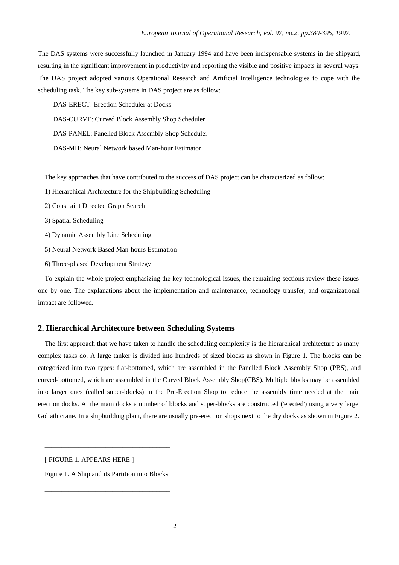The DAS systems were successfully launched in January 1994 and have been indispensable systems in the shipyard, resulting in the significant improvement in productivity and reporting the visible and positive impacts in several ways. The DAS project adopted various Operational Research and Artificial Intelligence technologies to cope with the scheduling task. The key sub-systems in DAS project are as follow:

DAS-ERECT: Erection Scheduler at Docks

DAS-CURVE: Curved Block Assembly Shop Scheduler

DAS-PANEL: Panelled Block Assembly Shop Scheduler

DAS-MH: Neural Network based Man-hour Estimator

The key approaches that have contributed to the success of DAS project can be characterized as follow:

- 1) Hierarchical Architecture for the Shipbuilding Scheduling
- 2) Constraint Directed Graph Search
- 3) Spatial Scheduling
- 4) Dynamic Assembly Line Scheduling
- 5) Neural Network Based Man-hours Estimation
- 6) Three-phased Development Strategy

To explain the whole project emphasizing the key technological issues, the remaining sections review these issues one by one. The explanations about the implementation and maintenance, technology transfer, and organizational impact are followed.

## **2. Hierarchical Architecture between Scheduling Systems**

The first approach that we have taken to handle the scheduling complexity is the hierarchical architecture as many complex tasks do. A large tanker is divided into hundreds of sized blocks as shown in Figure 1. The blocks can be categorized into two types: flat-bottomed, which are assembled in the Panelled Block Assembly Shop (PBS), and curved-bottomed, which are assembled in the Curved Block Assembly Shop(CBS). Multiple blocks may be assembled into larger ones (called super-blocks) in the Pre-Erection Shop to reduce the assembly time needed at the main erection docks. At the main docks a number of blocks and super-blocks are constructed ('erected') using a very large Goliath crane. In a shipbuilding plant, there are usually pre-erection shops next to the dry docks as shown in Figure 2.

[ FIGURE 1. APPEARS HERE ]

Figure 1. A Ship and its Partition into Blocks

\_\_\_\_\_\_\_\_\_\_\_\_\_\_\_\_\_\_\_\_\_\_\_\_\_\_\_\_\_\_\_\_\_\_\_\_\_

\_\_\_\_\_\_\_\_\_\_\_\_\_\_\_\_\_\_\_\_\_\_\_\_\_\_\_\_\_\_\_\_\_\_\_\_\_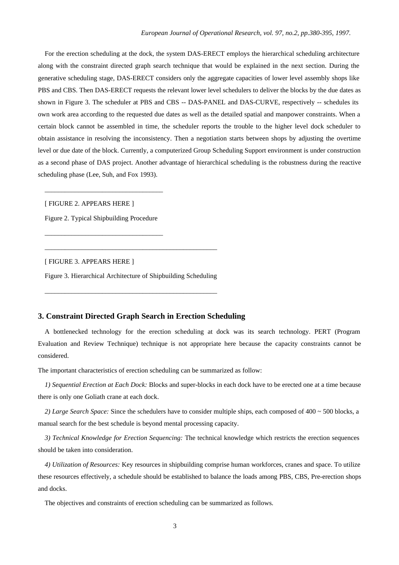For the erection scheduling at the dock, the system DAS-ERECT employs the hierarchical scheduling architecture along with the constraint directed graph search technique that would be explained in the next section. During the generative scheduling stage, DAS-ERECT considers only the aggregate capacities of lower level assembly shops like PBS and CBS. Then DAS-ERECT requests the relevant lower level schedulers to deliver the blocks by the due dates as shown in Figure 3. The scheduler at PBS and CBS -- DAS-PANEL and DAS-CURVE, respectively -- schedules its own work area according to the requested due dates as well as the detailed spatial and manpower constraints. When a certain block cannot be assembled in time, the scheduler reports the trouble to the higher level dock scheduler to obtain assistance in resolving the inconsistency. Then a negotiation starts between shops by adjusting the overtime level or due date of the block. Currently, a computerized Group Scheduling Support environment is under construction as a second phase of DAS project. Another advantage of hierarchical scheduling is the robustness during the reactive scheduling phase (Lee, Suh, and Fox 1993).

[ FIGURE 2. APPEARS HERE ]

Figure 2. Typical Shipbuilding Procedure

\_\_\_\_\_\_\_\_\_\_\_\_\_\_\_\_\_\_\_\_\_\_\_\_\_\_\_\_\_\_\_\_\_\_\_

\_\_\_\_\_\_\_\_\_\_\_\_\_\_\_\_\_\_\_\_\_\_\_\_\_\_\_\_\_\_\_\_\_\_\_

[ FIGURE 3. APPEARS HERE ]

Figure 3. Hierarchical Architecture of Shipbuilding Scheduling

\_\_\_\_\_\_\_\_\_\_\_\_\_\_\_\_\_\_\_\_\_\_\_\_\_\_\_\_\_\_\_\_\_\_\_\_\_\_\_\_\_\_\_\_\_\_\_\_\_\_\_

\_\_\_\_\_\_\_\_\_\_\_\_\_\_\_\_\_\_\_\_\_\_\_\_\_\_\_\_\_\_\_\_\_\_\_\_\_\_\_\_\_\_\_\_\_\_\_\_\_\_\_

## **3. Constraint Directed Graph Search in Erection Scheduling**

A bottlenecked technology for the erection scheduling at dock was its search technology. PERT (Program Evaluation and Review Technique) technique is not appropriate here because the capacity constraints cannot be considered.

The important characteristics of erection scheduling can be summarized as follow:

*1) Sequential Erection at Each Dock:* Blocks and super-blocks in each dock have to be erected one at a time because there is only one Goliath crane at each dock.

*2) Large Search Space:* Since the schedulers have to consider multiple ships, each composed of 400 ~ 500 blocks, a manual search for the best schedule is beyond mental processing capacity.

*3) Technical Knowledge for Erection Sequencing:* The technical knowledge which restricts the erection sequences should be taken into consideration.

*4) Utilization of Resources:* Key resources in shipbuilding comprise human workforces, cranes and space. To utilize these resources effectively, a schedule should be established to balance the loads among PBS, CBS, Pre-erection shops and docks.

The objectives and constraints of erection scheduling can be summarized as follows.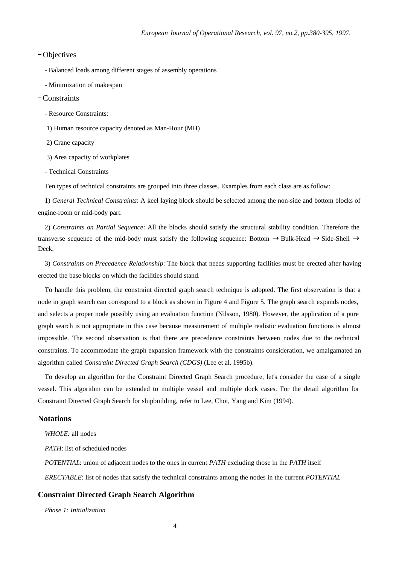## Objectives

- Balanced loads among different stages of assembly operations

- Minimization of makespan

#### Constraints

- Resource Constraints:

1) Human resource capacity denoted as Man-Hour (MH)

2) Crane capacity

3) Area capacity of workplates

- Technical Constraints

Ten types of technical constraints are grouped into three classes. Examples from each class are as follow:

1) *General Technical Constraints*: A keel laying block should be selected among the non-side and bottom blocks of engine-room or mid-body part.

2) *Constraints on Partial Sequence*: All the blocks should satisfy the structural stability condition. Therefore the transverse sequence of the mid-body must satisfy the following sequence: Bottom →Bulk-Head →Side-Shell → Deck.

3) *Constraints on Precedence Relationship*: The block that needs supporting facilities must be erected after having erected the base blocks on which the facilities should stand.

To handle this problem, the constraint directed graph search technique is adopted. The first observation is that a node in graph search can correspond to a block as shown in Figure 4 and Figure 5. The graph search expands nodes, and selects a proper node possibly using an evaluation function (Nilsson, 1980). However, the application of a pure graph search is not appropriate in this case because measurement of multiple realistic evaluation functions is almost impossible. The second observation is that there are precedence constraints between nodes due to the technical constraints. To accommodate the graph expansion framework with the constraints consideration, we amalgamated an algorithm called *Constraint Directed Graph Search (CDGS)* (Lee et al. 1995b).

To develop an algorithm for the Constraint Directed Graph Search procedure, let's consider the case of a single vessel. This algorithm can be extended to multiple vessel and multiple dock cases. For the detail algorithm for Constraint Directed Graph Search for shipbuilding, refer to Lee, Choi, Yang and Kim (1994).

## **Notations**

*WHOLE:* all nodes

*PATH*: list of scheduled nodes

*POTENTIAL*: union of adjacent nodes to the ones in current *PATH* excluding those in the *PATH* itself *ERECTABLE*: list of nodes that satisfy the technical constraints among the nodes in the current *POTENTIAL*

## **Constraint Directed Graph Search Algorithm**

*Phase 1: Initialization*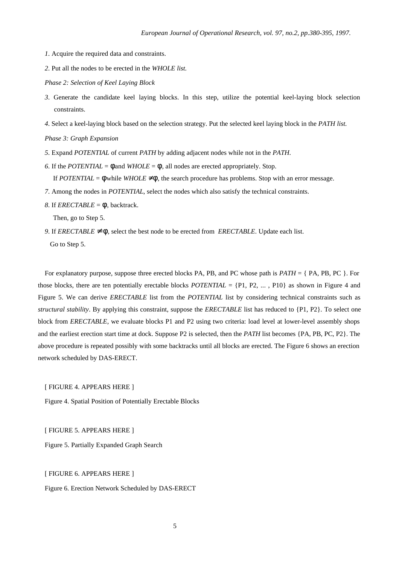- *1*. Acquire the required data and constraints.
- *2*. Put all the nodes to be erected in the *WHOLE list.*
- *Phase 2: Selection of Keel Laying Block*
- *3*. Generate the candidate keel laying blocks. In this step, utilize the potential keel-laying block selection constraints.
- *4*. Select a keel-laying block based on the selection strategy. Put the selected keel laying block in the *PATH list.*

*Phase 3: Graph Expansion*

- *5*. Expand *POTENTIAL* of current *PATH* by adding adjacent nodes while not in the *PATH*.
- *6*. If the *POTENTIAL* =  $\phi$  and *WHOLE* =  $\phi$ , all nodes are erected appropriately. Stop.

If  $POTENTIAL = \phi$  while  $WHOLE \neq \phi$ , the search procedure has problems. Stop with an error message.

- *7*. Among the nodes in *POTENTIAL*, select the nodes which also satisfy the technical constraints.
- *8*. If *ERECTABLE* =  $\phi$ , backtrack.

Then, go to Step 5.

*9.* If *ERECTABLE*  $\neq$  *Φ*, select the best node to be erected from *ERECTABLE*. Update each list. Go to Step 5.

For explanatory purpose, suppose three erected blocks PA, PB, and PC whose path is *PATH* = { PA, PB, PC }. For those blocks, there are ten potentially erectable blocks *POTENTIAL* = {P1, P2, ... , P10} as shown in Figure 4 and Figure 5. We can derive *ERECTABLE* list from the *POTENTIAL* list by considering technical constraints such as *structural stability*. By applying this constraint, suppose the *ERECTABLE* list has reduced to {P1, P2}. To select one block from *ERECTABLE*, we evaluate blocks P1 and P2 using two criteria: load level at lower-level assembly shops and the earliest erection start time at dock. Suppose P2 is selected, then the *PATH* list becomes {PA, PB, PC, P2}. The above procedure is repeated possibly with some backtracks until all blocks are erected. The Figure 6 shows an erection network scheduled by DAS-ERECT.

[ FIGURE 4. APPEARS HERE ]

Figure 4. Spatial Position of Potentially Erectable Blocks

[ FIGURE 5. APPEARS HERE ]

Figure 5. Partially Expanded Graph Search

[ FIGURE 6. APPEARS HERE ]

Figure 6. Erection Network Scheduled by DAS-ERECT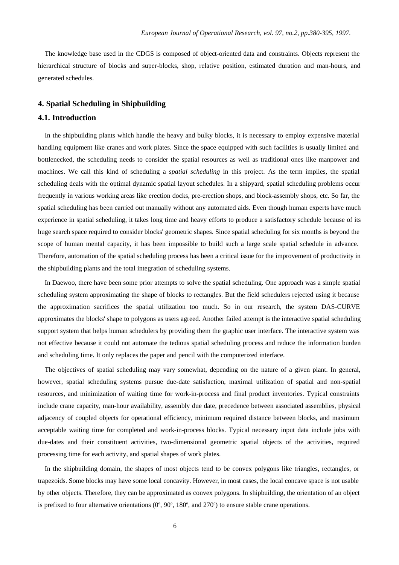The knowledge base used in the CDGS is composed of object-oriented data and constraints. Objects represent the hierarchical structure of blocks and super-blocks, shop, relative position, estimated duration and man-hours, and generated schedules.

### **4. Spatial Scheduling in Shipbuilding**

#### **4.1. Introduction**

In the shipbuilding plants which handle the heavy and bulky blocks, it is necessary to employ expensive material handling equipment like cranes and work plates. Since the space equipped with such facilities is usually limited and bottlenecked, the scheduling needs to consider the spatial resources as well as traditional ones like manpower and machines. We call this kind of scheduling a *spatial scheduling* in this project. As the term implies, the spatial scheduling deals with the optimal dynamic spatial layout schedules. In a shipyard, spatial scheduling problems occur frequently in various working areas like erection docks, pre-erection shops, and block-assembly shops, etc. So far, the spatial scheduling has been carried out manually without any automated aids. Even though human experts have much experience in spatial scheduling, it takes long time and heavy efforts to produce a satisfactory schedule because of its huge search space required to consider blocks' geometric shapes. Since spatial scheduling for six months is beyond the scope of human mental capacity, it has been impossible to build such a large scale spatial schedule in advance. Therefore, automation of the spatial scheduling process has been a critical issue for the improvement of productivity in the shipbuilding plants and the total integration of scheduling systems.

In Daewoo, there have been some prior attempts to solve the spatial scheduling. One approach was a simple spatial scheduling system approximating the shape of blocks to rectangles. But the field schedulers rejected using it because the approximation sacrifices the spatial utilization too much. So in our research, the system DAS-CURVE approximates the blocks' shape to polygons as users agreed. Another failed attempt is the interactive spatial scheduling support system that helps human schedulers by providing them the graphic user interface. The interactive system was not effective because it could not automate the tedious spatial scheduling process and reduce the information burden and scheduling time. It only replaces the paper and pencil with the computerized interface.

The objectives of spatial scheduling may vary somewhat, depending on the nature of a given plant. In general, however, spatial scheduling systems pursue due-date satisfaction, maximal utilization of spatial and non-spatial resources, and minimization of waiting time for work-in-process and final product inventories. Typical constraints include crane capacity, man-hour availability, assembly due date, precedence between associated assemblies, physical adjacency of coupled objects for operational efficiency, minimum required distance between blocks, and maximum acceptable waiting time for completed and work-in-process blocks. Typical necessary input data include jobs with due-dates and their constituent activities, two-dimensional geometric spatial objects of the activities, required processing time for each activity, and spatial shapes of work plates.

In the shipbuilding domain, the shapes of most objects tend to be convex polygons like triangles, rectangles, or trapezoids. Some blocks may have some local concavity. However, in most cases, the local concave space is not usable by other objects. Therefore, they can be approximated as convex polygons. In shipbuilding, the orientation of an object is prefixed to four alternative orientations  $(0^{\circ}, 90^{\circ}, 180^{\circ},$  and  $270^{\circ})$  to ensure stable crane operations.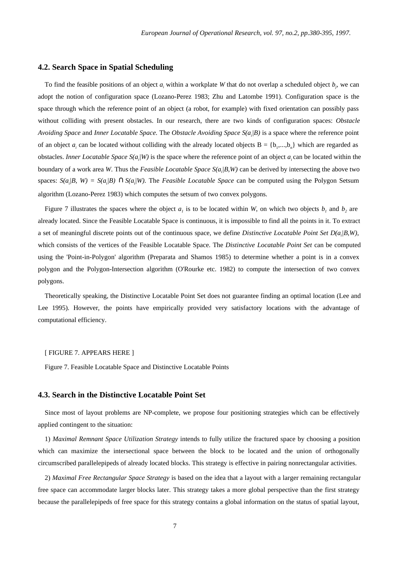### **4.2. Search Space in Spatial Scheduling**

To find the feasible positions of an object  $a_i$  within a workplate *W* that do not overlap a scheduled object  $b_j$ , we can adopt the notion of configuration space (Lozano-Perez 1983; Zhu and Latombe 1991). Configuration space is the space through which the reference point of an object (a robot, for example) with fixed orientation can possibly pass without colliding with present obstacles. In our research, there are two kinds of configuration spaces: *Obstacle Avoiding Space* and *Inner Locatable Space.* The *Obstacle Avoiding Space S(a<sup>i</sup> |B)* is a space where the reference point of an object  $a_i$  can be located without colliding with the already located objects  $B = \{b_1,...,b_n\}$  which are regarded as obstacles. *Inner Locatable Space S(a<sup>i</sup> |W)* is the space where the reference point of an object *a<sup>i</sup>* can be located within the boundary of a work area *W*. Thus the *Feasible Locatable Space S(a<sup>i</sup> |B,W)* can be derived by intersecting the above two spaces:  $S(a_i/B, W) = S(a_i/B) \cap S(a_i/W)$ . The *Feasible Locatable Space* can be computed using the Polygon Setsum algorithm (Lozano-Perez 1983) which computes the setsum of two convex polygons.

Figure 7 illustrates the spaces where the object  $a<sub>i</sub>$  is to be located within *W*, on which two objects  $b<sub>i</sub>$  and  $b<sub>2</sub>$  are already located. Since the Feasible Locatable Space is continuous, it is impossible to find all the points in it. To extract a set of meaningful discrete points out of the continuous space, we define *Distinctive Locatable Point Set D(a<sup>i</sup> |B,W)*, which consists of the vertices of the Feasible Locatable Space. The *Distinctive Locatable Point Set* can be computed using the 'Point-in-Polygon' algorithm (Preparata and Shamos 1985) to determine whether a point is in a convex polygon and the Polygon-Intersection algorithm (O'Rourke etc. 1982) to compute the intersection of two convex polygons.

Theoretically speaking, the Distinctive Locatable Point Set does not guarantee finding an optimal location (Lee and Lee 1995). However, the points have empirically provided very satisfactory locations with the advantage of computational efficiency.

#### [ FIGURE 7. APPEARS HERE ]

Figure 7. Feasible Locatable Space and Distinctive Locatable Points

#### **4.3. Search in the Distinctive Locatable Point Set**

Since most of layout problems are NP-complete, we propose four positioning strategies which can be effectively applied contingent to the situation:

1) *Maximal Remnant Space Utilization Strategy* intends to fully utilize the fractured space by choosing a position which can maximize the intersectional space between the block to be located and the union of orthogonally circumscribed parallelepipeds of already located blocks. This strategy is effective in pairing nonrectangular activities.

2) *Maximal Free Rectangular Space Strategy* is based on the idea that a layout with a larger remaining rectangular free space can accommodate larger blocks later. This strategy takes a more global perspective than the first strategy because the parallelepipeds of free space for this strategy contains a global information on the status of spatial layout,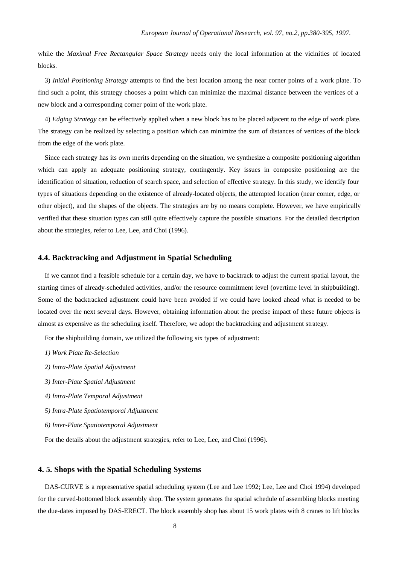while the *Maximal Free Rectangular Space Strategy* needs only the local information at the vicinities of located blocks.

3) *Initial Positioning Strategy* attempts to find the best location among the near corner points of a work plate. To find such a point, this strategy chooses a point which can minimize the maximal distance between the vertices of a new block and a corresponding corner point of the work plate.

4) *Edging Strategy* can be effectively applied when a new block has to be placed adjacent to the edge of work plate. The strategy can be realized by selecting a position which can minimize the sum of distances of vertices of the block from the edge of the work plate.

Since each strategy has its own merits depending on the situation, we synthesize a composite positioning algorithm which can apply an adequate positioning strategy, contingently. Key issues in composite positioning are the identification of situation, reduction of search space, and selection of effective strategy. In this study, we identify four types of situations depending on the existence of already-located objects, the attempted location (near corner, edge, or other object), and the shapes of the objects. The strategies are by no means complete. However, we have empirically verified that these situation types can still quite effectively capture the possible situations. For the detailed description about the strategies, refer to Lee, Lee, and Choi (1996).

#### **4.4. Backtracking and Adjustment in Spatial Scheduling**

If we cannot find a feasible schedule for a certain day, we have to backtrack to adjust the current spatial layout, the starting times of already-scheduled activities, and/or the resource commitment level (overtime level in shipbuilding). Some of the backtracked adjustment could have been avoided if we could have looked ahead what is needed to be located over the next several days. However, obtaining information about the precise impact of these future objects is almost as expensive as the scheduling itself. Therefore, we adopt the backtracking and adjustment strategy.

For the shipbuilding domain, we utilized the following six types of adjustment:

- *1) Work Plate Re-Selection*
- *2) Intra-Plate Spatial Adjustment*
- *3) Inter-Plate Spatial Adjustment*
- *4) Intra-Plate Temporal Adjustment*
- *5) Intra-Plate Spatiotemporal Adjustment*
- *6) Inter-Plate Spatiotemporal Adjustment*

For the details about the adjustment strategies, refer to Lee, Lee, and Choi (1996).

## **4. 5. Shops with the Spatial Scheduling Systems**

DAS-CURVE is a representative spatial scheduling system (Lee and Lee 1992; Lee, Lee and Choi 1994) developed for the curved-bottomed block assembly shop. The system generates the spatial schedule of assembling blocks meeting the due-dates imposed by DAS-ERECT. The block assembly shop has about 15 work plates with 8 cranes to lift blocks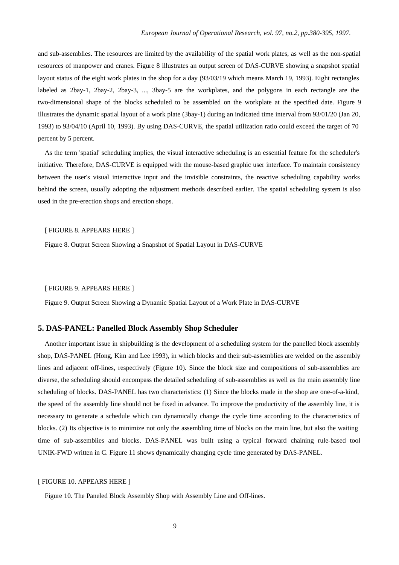and sub-assemblies. The resources are limited by the availability of the spatial work plates, as well as the non-spatial resources of manpower and cranes. Figure 8 illustrates an output screen of DAS-CURVE showing a snapshot spatial layout status of the eight work plates in the shop for a day (93/03/19 which means March 19, 1993). Eight rectangles labeled as 2bay-1, 2bay-2, 2bay-3, ..., 3bay-5 are the workplates, and the polygons in each rectangle are the two-dimensional shape of the blocks scheduled to be assembled on the workplate at the specified date. Figure 9 illustrates the dynamic spatial layout of a work plate (3bay-1) during an indicated time interval from 93/01/20 (Jan 20, 1993) to 93/04/10 (April 10, 1993). By using DAS-CURVE, the spatial utilization ratio could exceed the target of 70 percent by 5 percent.

As the term 'spatial' scheduling implies, the visual interactive scheduling is an essential feature for the scheduler's initiative. Therefore, DAS-CURVE is equipped with the mouse-based graphic user interface. To maintain consistency between the user's visual interactive input and the invisible constraints, the reactive scheduling capability works behind the screen, usually adopting the adjustment methods described earlier. The spatial scheduling system is also used in the pre-erection shops and erection shops.

#### [ FIGURE 8. APPEARS HERE ]

Figure 8. Output Screen Showing a Snapshot of Spatial Layout in DAS-CURVE

#### [ FIGURE 9. APPEARS HERE ]

Figure 9. Output Screen Showing a Dynamic Spatial Layout of a Work Plate in DAS-CURVE

## **5. DAS-PANEL: Panelled Block Assembly Shop Scheduler**

Another important issue in shipbuilding is the development of a scheduling system for the panelled block assembly shop, DAS-PANEL (Hong, Kim and Lee 1993), in which blocks and their sub-assemblies are welded on the assembly lines and adjacent off-lines, respectively (Figure 10). Since the block size and compositions of sub-assemblies are diverse, the scheduling should encompass the detailed scheduling of sub-assemblies as well as the main assembly line scheduling of blocks. DAS-PANEL has two characteristics: (1) Since the blocks made in the shop are one-of-a-kind, the speed of the assembly line should not be fixed in advance. To improve the productivity of the assembly line, it is necessary to generate a schedule which can dynamically change the cycle time according to the characteristics of blocks. (2) Its objective is to minimize not only the assembling time of blocks on the main line, but also the waiting time of sub-assemblies and blocks. DAS-PANEL was built using a typical forward chaining rule-based tool UNIK-FWD written in C. Figure 11 shows dynamically changing cycle time generated by DAS-PANEL.

#### [ FIGURE 10. APPEARS HERE ]

Figure 10. The Paneled Block Assembly Shop with Assembly Line and Off-lines.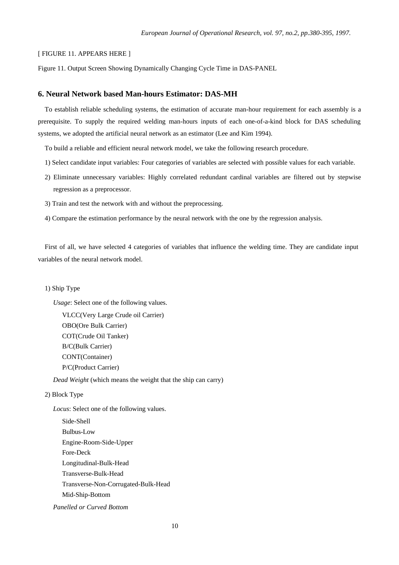#### [ FIGURE 11. APPEARS HERE ]

Figure 11. Output Screen Showing Dynamically Changing Cycle Time in DAS-PANEL

## **6. Neural Network based Man-hours Estimator: DAS-MH**

To establish reliable scheduling systems, the estimation of accurate man-hour requirement for each assembly is a prerequisite. To supply the required welding man-hours inputs of each one-of-a-kind block for DAS scheduling systems, we adopted the artificial neural network as an estimator (Lee and Kim 1994).

To build a reliable and efficient neural network model, we take the following research procedure.

- 1) Select candidate input variables: Four categories of variables are selected with possible values for each variable.
- 2) Eliminate unnecessary variables: Highly correlated redundant cardinal variables are filtered out by stepwise regression as a preprocessor.
- 3) Train and test the network with and without the preprocessing.
- 4) Compare the estimation performance by the neural network with the one by the regression analysis.

First of all, we have selected 4 categories of variables that influence the welding time. They are candidate input variables of the neural network model.

1) Ship Type

*Usage*: Select one of the following values.

VLCC(Very Large Crude oil Carrier) OBO(Ore Bulk Carrier) COT(Crude Oil Tanker) B/C(Bulk Carrier) CONT(Container) P/C(Product Carrier)

*Dead Weight* (which means the weight that the ship can carry)

## 2) Block Type

*Locus*: Select one of the following values.

Side-Shell Bulbus-Low Engine-Room-Side-Upper Fore-Deck Longitudinal-Bulk-Head Transverse-Bulk-Head Transverse-Non-Corrugated-Bulk-Head Mid-Ship-Bottom

*Panelled or Curved Bottom*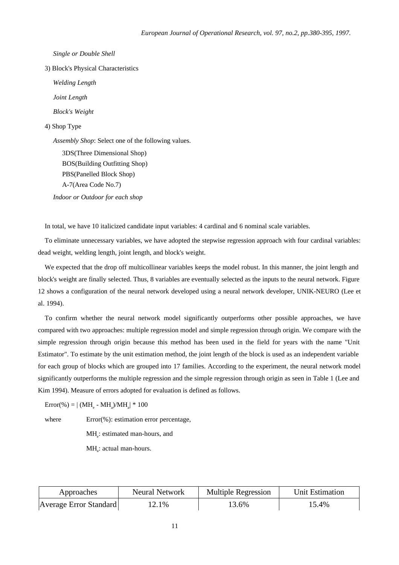*Single or Double Shell*

3) Block's Physical Characteristics

*Welding Length*

*Joint Length*

*Block's Weight*

#### 4) Shop Type

*Assembly Shop*: Select one of the following values.

3DS(Three Dimensional Shop) BOS(Building Outfitting Shop) PBS(Panelled Block Shop) A-7(Area Code No.7)

*Indoor or Outdoor for each shop*

In total, we have 10 italicized candidate input variables: 4 cardinal and 6 nominal scale variables.

To eliminate unnecessary variables, we have adopted the stepwise regression approach with four cardinal variables: dead weight, welding length, joint length, and block's weight.

We expected that the drop off multicollinear variables keeps the model robust. In this manner, the joint length and block's weight are finally selected. Thus, 8 variables are eventually selected as the inputs to the neural network. Figure 12 shows a configuration of the neural network developed using a neural network developer, UNIK-NEURO (Lee et al. 1994).

To confirm whether the neural network model significantly outperforms other possible approaches, we have compared with two approaches: multiple regression model and simple regression through origin. We compare with the simple regression through origin because this method has been used in the field for years with the name "Unit Estimator". To estimate by the unit estimation method, the joint length of the block is used as an independent variable for each group of blocks which are grouped into 17 families. According to the experiment, the neural network model significantly outperforms the multiple regression and the simple regression through origin as seen in Table 1 (Lee and Kim 1994). Measure of errors adopted for evaluation is defined as follows.

 $\text{Error}(\% ) = | \ (\text{MH}_e - \text{MH}_a) / \text{MH}_a | * 100$ 

where Error(%): estimation error percentage,

MH<sub>e</sub>: estimated man-hours, and

MH<sub>a</sub>: actual man-hours.

| Approaches             | <b>Neural Network</b> | <b>Multiple Regression</b> | Unit Estimation |
|------------------------|-----------------------|----------------------------|-----------------|
| Average Error Standard | 12.1%                 | 3.6%                       | 15.4%           |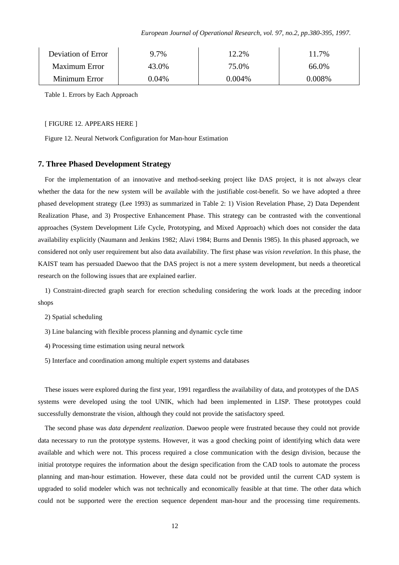*European Journal of Operational Research, vol. 97, no.2, pp.380-395, 1997.*

| Deviation of Error   | 9.7%     | 12.2%  | 11.7%  |
|----------------------|----------|--------|--------|
| <b>Maximum Error</b> | 43.0%    | 75.0%  | 66.0%  |
| Minimum Error        | $0.04\%$ | 0.004% | 0.008% |

Table 1. Errors by Each Approach

#### [ FIGURE 12. APPEARS HERE ]

Figure 12. Neural Network Configuration for Man-hour Estimation

### **7. Three Phased Development Strategy**

For the implementation of an innovative and method-seeking project like DAS project, it is not always clear whether the data for the new system will be available with the justifiable cost-benefit. So we have adopted a three phased development strategy (Lee 1993) as summarized in Table 2: 1) Vision Revelation Phase, 2) Data Dependent Realization Phase, and 3) Prospective Enhancement Phase. This strategy can be contrasted with the conventional approaches (System Development Life Cycle, Prototyping, and Mixed Approach) which does not consider the data availability explicitly (Naumann and Jenkins 1982; Alavi 1984; Burns and Dennis 1985). In this phased approach, we considered not only user requirement but also data availability. The first phase was *vision revelation*. In this phase, the KAIST team has persuaded Daewoo that the DAS project is not a mere system development, but needs a theoretical research on the following issues that are explained earlier.

1) Constraint-directed graph search for erection scheduling considering the work loads at the preceding indoor shops

2) Spatial scheduling

- 3) Line balancing with flexible process planning and dynamic cycle time
- 4) Processing time estimation using neural network
- 5) Interface and coordination among multiple expert systems and databases

These issues were explored during the first year, 1991 regardless the availability of data, and prototypes of the DAS systems were developed using the tool UNIK, which had been implemented in LISP. These prototypes could successfully demonstrate the vision, although they could not provide the satisfactory speed.

The second phase was *data dependent realization*. Daewoo people were frustrated because they could not provide data necessary to run the prototype systems. However, it was a good checking point of identifying which data were available and which were not. This process required a close communication with the design division, because the initial prototype requires the information about the design specification from the CAD tools to automate the process planning and man-hour estimation. However, these data could not be provided until the current CAD system is upgraded to solid modeler which was not technically and economically feasible at that time. The other data which could not be supported were the erection sequence dependent man-hour and the processing time requirements.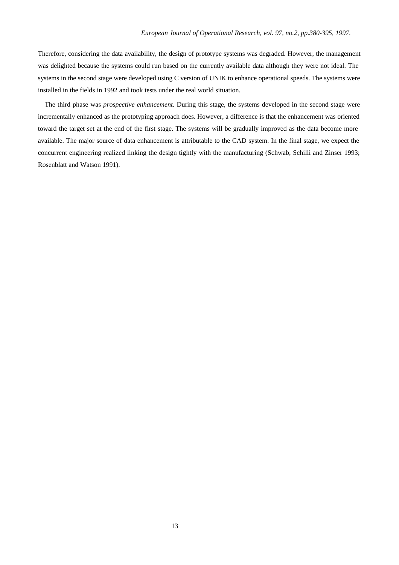Therefore, considering the data availability, the design of prototype systems was degraded. However, the management was delighted because the systems could run based on the currently available data although they were not ideal. The systems in the second stage were developed using C version of UNIK to enhance operational speeds. The systems were installed in the fields in 1992 and took tests under the real world situation.

The third phase was *prospective enhancement*. During this stage, the systems developed in the second stage were incrementally enhanced as the prototyping approach does. However, a difference is that the enhancement was oriented toward the target set at the end of the first stage. The systems will be gradually improved as the data become more available. The major source of data enhancement is attributable to the CAD system. In the final stage, we expect the concurrent engineering realized linking the design tightly with the manufacturing (Schwab, Schilli and Zinser 1993; Rosenblatt and Watson 1991).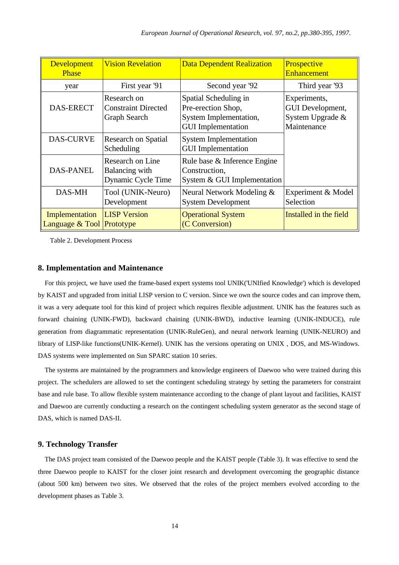| Development<br><b>Phase</b>                 | <b>Vision Revelation</b>                                  | <b>Data Dependent Realization</b>                                                                  | Prospective<br><b>Enhancement</b>                                   |
|---------------------------------------------|-----------------------------------------------------------|----------------------------------------------------------------------------------------------------|---------------------------------------------------------------------|
| year                                        | First year '91                                            | Second year '92                                                                                    | Third year '93                                                      |
| <b>DAS-ERECT</b>                            | Research on<br><b>Constraint Directed</b><br>Graph Search | Spatial Scheduling in<br>Pre-erection Shop,<br>System Implementation,<br><b>GUI</b> Implementation | Experiments,<br>GUI Development,<br>System Upgrade &<br>Maintenance |
| DAS-CURVE                                   | <b>Research on Spatial</b><br>Scheduling                  | <b>System Implementation</b><br><b>GUI</b> Implementation                                          |                                                                     |
| <b>DAS-PANEL</b>                            | Research on Line<br>Balancing with<br>Dynamic Cycle Time  | Rule base & Inference Engine<br>Construction,<br>System & GUI Implementation                       |                                                                     |
| DAS-MH                                      | Tool (UNIK-Neuro)<br>Development                          | Neural Network Modeling &<br><b>System Development</b>                                             | Experiment & Model<br>Selection                                     |
| Implementation<br>Language & Tool Prototype | <b>LISP</b> Version                                       | <b>Operational System</b><br>(C Conversion)                                                        | Installed in the field                                              |

Table 2. Development Process

## **8. Implementation and Maintenance**

For this project, we have used the frame-based expert systems tool UNIK('UNIfied Knowledge') which is developed by KAIST and upgraded from initial LISP version to C version. Since we own the source codes and can improve them, it was a very adequate tool for this kind of project which requires flexible adjustment. UNIK has the features such as forward chaining (UNIK-FWD), backward chaining (UNIK-BWD), inductive learning (UNIK-INDUCE), rule generation from diagrammatic representation (UNIK-RuleGen), and neural network learning (UNIK-NEURO) and library of LISP-like functions(UNIK-Kernel). UNIK has the versions operating on UNIX , DOS, and MS-Windows. DAS systems were implemented on Sun SPARC station 10 series.

The systems are maintained by the programmers and knowledge engineers of Daewoo who were trained during this project. The schedulers are allowed to set the contingent scheduling strategy by setting the parameters for constraint base and rule base. To allow flexible system maintenance according to the change of plant layout and facilities, KAIST and Daewoo are currently conducting a research on the contingent scheduling system generator as the second stage of DAS, which is named DAS-II.

## **9. Technology Transfer**

The DAS project team consisted of the Daewoo people and the KAIST people (Table 3). It was effective to send the three Daewoo people to KAIST for the closer joint research and development overcoming the geographic distance (about 500 km) between two sites. We observed that the roles of the project members evolved according to the development phases as Table 3.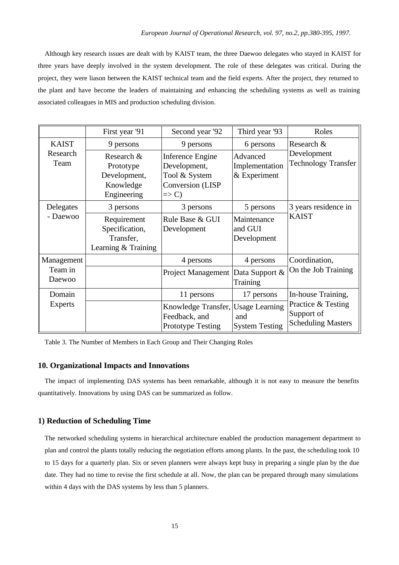Although key research issues are dealt with by KAIST team, the three Daewoo delegates who stayed in KAIST for three years have deeply involved in the system development. The role of these delegates was critical. During the project, they were liason between the KAIST technical team and the field experts. After the project, they returned to the plant and have become the leaders of maintaining and enhancing the scheduling systems as well as training associated colleagues in MIS and production scheduling division.

|                                  | First year '91                                                      | Second year '92                                                                           | Third year '93                               | Roles                                                         |  |
|----------------------------------|---------------------------------------------------------------------|-------------------------------------------------------------------------------------------|----------------------------------------------|---------------------------------------------------------------|--|
| <b>KAIST</b><br>Research<br>Team | 9 persons                                                           | 9 persons                                                                                 | 6 persons                                    | Research &<br>Development<br><b>Technology Transfer</b>       |  |
|                                  | Research &<br>Prototype<br>Development,<br>Knowledge<br>Engineering | Inference Engine<br>Development,<br>Tool & System<br>Conversion (LISP<br>$\Rightarrow$ C) | Advanced<br>Implementation<br>$&$ Experiment |                                                               |  |
| Delegates<br>- Daewoo            | 3 persons                                                           | 3 persons                                                                                 | 5 persons                                    | 3 years residence in                                          |  |
|                                  | Requirement<br>Specification,<br>Transfer,<br>Learning & Training   | Rule Base & GUI<br>Development                                                            | Maintenance<br>and GUI<br>Development        | <b>KAIST</b>                                                  |  |
| Management<br>Team in<br>Daewoo  |                                                                     | 4 persons                                                                                 | 4 persons                                    | Coordination,<br>On the Job Training                          |  |
|                                  |                                                                     | Project Management Data Support &                                                         | Training                                     |                                                               |  |
| Domain<br>Experts                |                                                                     | 11 persons                                                                                | 17 persons                                   | In-house Training,                                            |  |
|                                  |                                                                     | Knowledge Transfer, Usage Learning<br>Feedback, and<br><b>Prototype Testing</b>           | and<br><b>System Testing</b>                 | Practice & Testing<br>Support of<br><b>Scheduling Masters</b> |  |

Table 3. The Number of Members in Each Group and Their Changing Roles

## **10. Organizational Impacts and Innovations**

The impact of implementing DAS systems has been remarkable, although it is not easy to measure the benefits quantitatively. Innovations by using DAS can be summarized as follow.

### **1) Reduction of Scheduling Time**

The networked scheduling systems in hierarchical architecture enabled the production management department to plan and control the plants totally reducing the negotiation efforts among plants. In the past, the scheduling took 10 to 15 days for a quarterly plan. Six or seven planners were always kept busy in preparing a single plan by the due date. They had no time to revise the first schedule at all. Now, the plan can be prepared through many simulations within 4 days with the DAS systems by less than 5 planners.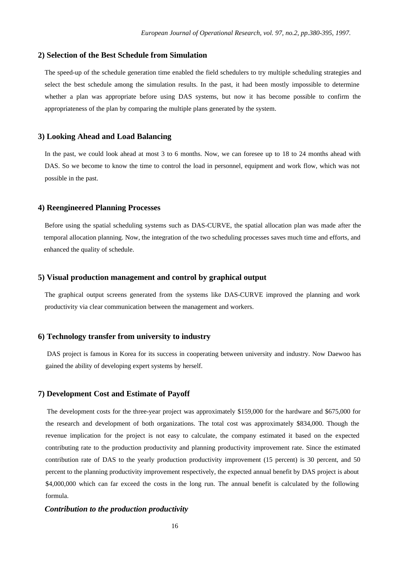## **2) Selection of the Best Schedule from Simulation**

The speed-up of the schedule generation time enabled the field schedulers to try multiple scheduling strategies and select the best schedule among the simulation results. In the past, it had been mostly impossible to determine whether a plan was appropriate before using DAS systems, but now it has become possible to confirm the appropriateness of the plan by comparing the multiple plans generated by the system.

### **3) Looking Ahead and Load Balancing**

In the past, we could look ahead at most 3 to 6 months. Now, we can foresee up to 18 to 24 months ahead with DAS. So we become to know the time to control the load in personnel, equipment and work flow, which was not possible in the past.

## **4) Reengineered Planning Processes**

Before using the spatial scheduling systems such as DAS-CURVE, the spatial allocation plan was made after the temporal allocation planning. Now, the integration of the two scheduling processes saves much time and efforts, and enhanced the quality of schedule.

## **5) Visual production management and control by graphical output**

The graphical output screens generated from the systems like DAS-CURVE improved the planning and work productivity via clear communication between the management and workers.

## **6) Technology transfer from university to industry**

 DAS project is famous in Korea for its success in cooperating between university and industry. Now Daewoo has gained the ability of developing expert systems by herself.

## **7) Development Cost and Estimate of Payoff**

 The development costs for the three-year project was approximately \$159,000 for the hardware and \$675,000 for the research and development of both organizations. The total cost was approximately \$834,000. Though the revenue implication for the project is not easy to calculate, the company estimated it based on the expected contributing rate to the production productivity and planning productivity improvement rate. Since the estimated contribution rate of DAS to the yearly production productivity improvement (15 percent) is 30 percent, and 50 percent to the planning productivity improvement respectively, the expected annual benefit by DAS project is about \$4,000,000 which can far exceed the costs in the long run. The annual benefit is calculated by the following formula.

### *Contribution to the production productivity*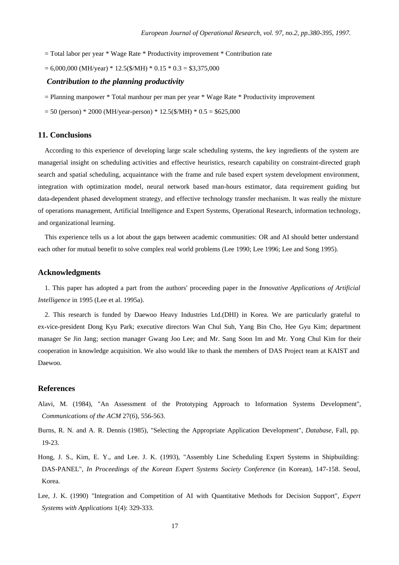- $=$  Total labor per year  $*$  Wage Rate  $*$  Productivity improvement  $*$  Contribution rate
- $= 6,000,000$  (MH/year) \* 12.5(\$/MH) \* 0.15 \* 0.3 = \$3,375,000

## *Contribution to the planning productivity*

- = Planning manpower \* Total manhour per man per year \* Wage Rate \* Productivity improvement
- $= 50$  (person) \* 2000 (MH/year-person) \* 12.5(\$/MH) \* 0.5 = \$625,000

### **11. Conclusions**

According to this experience of developing large scale scheduling systems, the key ingredients of the system are managerial insight on scheduling activities and effective heuristics, research capability on constraint-directed graph search and spatial scheduling, acquaintance with the frame and rule based expert system development environment, integration with optimization model, neural network based man-hours estimator, data requirement guiding but data-dependent phased development strategy, and effective technology transfer mechanism. It was really the mixture of operations management, Artificial Intelligence and Expert Systems, Operational Research, information technology, and organizational learning.

This experience tells us a lot about the gaps between academic communities: OR and AI should better understand each other for mutual benefit to solve complex real world problems (Lee 1990; Lee 1996; Lee and Song 1995).

### **Acknowledgments**

1. This paper has adopted a part from the authors' proceeding paper in the *Innovative Applications of Artificial Intelligence* in 1995 (Lee et al. 1995a).

2. This research is funded by Daewoo Heavy Industries Ltd.(DHI) in Korea. We are particularly grateful to ex-vice-president Dong Kyu Park; executive directors Wan Chul Suh, Yang Bin Cho, Hee Gyu Kim; department manager Se Jin Jang; section manager Gwang Joo Lee; and Mr. Sang Soon Im and Mr. Yong Chul Kim for their cooperation in knowledge acquisition. We also would like to thank the members of DAS Project team at KAIST and Daewoo.

## **References**

- Alavi, M. (1984), "An Assessment of the Prototyping Approach to Information Systems Development", *Communications of the ACM* 27(6), 556-563.
- Burns, R. N. and A. R. Dennis (1985), "Selecting the Appropriate Application Development", *Database*, Fall, pp. 19-23.
- Hong, J. S., Kim, E. Y., and Lee. J. K. (1993), "Assembly Line Scheduling Expert Systems in Shipbuilding: DAS-PANEL", *In Proceedings of the Korean Expert Systems Society Conference* (in Korean), 147-158. Seoul, Korea.
- Lee, J. K. (1990) "Integration and Competition of AI with Quantitative Methods for Decision Support", *Expert Systems with Applications* 1(4): 329-333.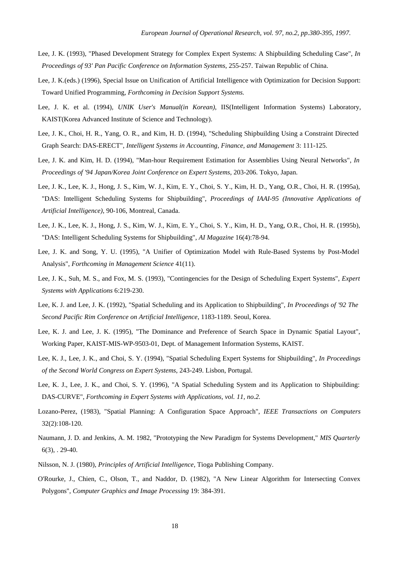- Lee, J. K. (1993), "Phased Development Strategy for Complex Expert Systems: A Shipbuilding Scheduling Case", *In Proceedings of 93' Pan Pacific Conference on Information Systems*, 255-257. Taiwan Republic of China.
- Lee, J. K.(eds.) (1996), Special Issue on Unification of Artificial Intelligence with Optimization for Decision Support: Toward Unified Programming, *Forthcoming in Decision Support Systems.*
- Lee, J. K. et al. (1994)*, UNIK User's Manual(in Korean)*, IIS(Intelligent Information Systems) Laboratory, KAIST(Korea Advanced Institute of Science and Technology).
- Lee, J. K., Choi, H. R., Yang, O. R., and Kim, H. D. (1994), "Scheduling Shipbuilding Using a Constraint Directed Graph Search: DAS-ERECT", *Intelligent Systems in Accounting, Finance, and Management* 3: 111-125.
- Lee, J. K. and Kim, H. D. (1994), "Man-hour Requirement Estimation for Assemblies Using Neural Networks", *In Proceedings of '94 Japan/Korea Joint Conference on Expert Systems*, 203-206. Tokyo, Japan.
- Lee, J. K., Lee, K. J., Hong, J. S., Kim, W. J., Kim, E. Y., Choi, S. Y., Kim, H. D., Yang, O.R., Choi, H. R. (1995a), "DAS: Intelligent Scheduling Systems for Shipbuilding", *Proceedings of IAAI-95 (Innovative Applications of Artificial Intelligence)*, 90-106, Montreal, Canada.
- Lee, J. K., Lee, K. J., Hong, J. S., Kim, W. J., Kim, E. Y., Choi, S. Y., Kim, H. D., Yang, O.R., Choi, H. R. (1995b), "DAS: Intelligent Scheduling Systems for Shipbuilding", *AI Magazine* 16(4):78-94.
- Lee, J. K. and Song, Y. U. (1995), "A Unifier of Optimization Model with Rule-Based Systems by Post-Model Analysis", *Forthcoming in Management Science* 41(11).
- Lee, J. K., Suh, M. S., and Fox, M. S. (1993), "Contingencies for the Design of Scheduling Expert Systems", *Expert Systems with Applications* 6:219-230.
- Lee, K. J. and Lee, J. K. (1992), "Spatial Scheduling and its Application to Shipbuilding", *In Proceedings of '92 The Second Pacific Rim Conference on Artificial Intelligence*, 1183-1189. Seoul, Korea.
- Lee, K. J. and Lee, J. K. (1995), "The Dominance and Preference of Search Space in Dynamic Spatial Layout", Working Paper, KAIST-MIS-WP-9503-01, Dept. of Management Information Systems, KAIST.
- Lee, K. J., Lee, J. K., and Choi, S. Y. (1994), "Spatial Scheduling Expert Systems for Shipbuilding", *In Proceedings of the Second World Congress on Expert Systems*, 243-249. Lisbon, Portugal.
- Lee, K. J., Lee, J. K., and Choi, S. Y. (1996), "A Spatial Scheduling System and its Application to Shipbuilding: DAS-CURVE", *Forthcoming in Expert Systems with Applications, vol. 11, no.2.*
- Lozano-Perez, (1983), "Spatial Planning: A Configuration Space Approach", *IEEE Transactions on Computers* 32(2):108-120.
- Naumann, J. D. and Jenkins, A. M. 1982, "Prototyping the New Paradigm for Systems Development," *MIS Quarterly* 6(3), . 29-40.
- Nilsson, N. J. (1980), *Principles of Artificial Intelligence*, Tioga Publishing Company.
- O'Rourke, J., Chien, C., Olson, T., and Naddor, D. (1982), "A New Linear Algorithm for Intersecting Convex Polygons", *Computer Graphics and Image Processing* 19: 384-391.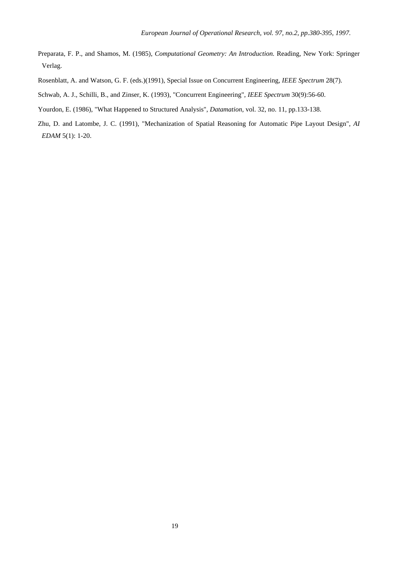- Preparata, F. P., and Shamos, M. (1985), *Computational Geometry: An Introduction.* Reading, New York: Springer Verlag.
- Rosenblatt, A. and Watson, G. F. (eds.)(1991), Special Issue on Concurrent Engineering, *IEEE Spectrum* 28(7).
- Schwab, A. J., Schilli, B., and Zinser, K. (1993), "Concurrent Engineering", *IEEE Spectrum* 30(9):56-60.
- Yourdon, E. (1986), "What Happened to Structured Analysis", *Datamation*, vol. 32, no. 11, pp.133-138.
- Zhu, D. and Latombe, J. C. (1991), "Mechanization of Spatial Reasoning for Automatic Pipe Layout Design", *AI EDAM* 5(1): 1-20.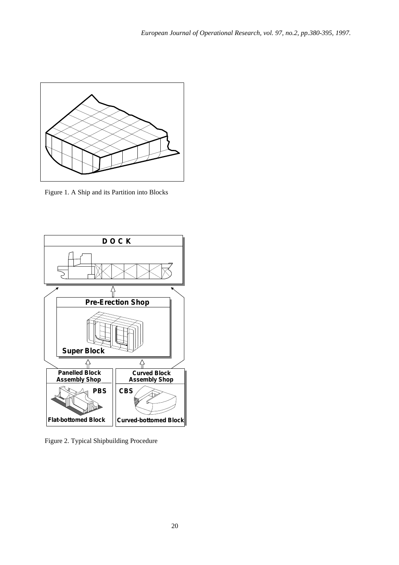

Figure 1. A Ship and its Partition into Blocks



Figure 2. Typical Shipbuilding Procedure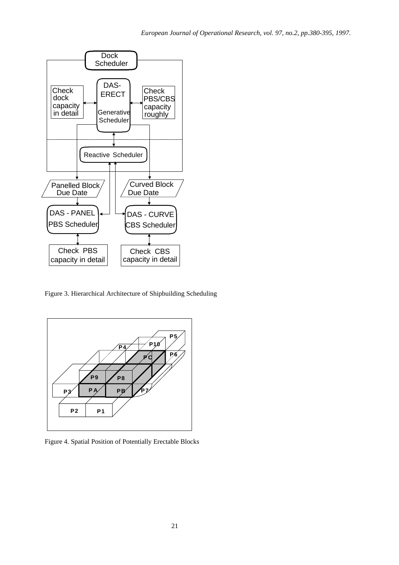

Figure 3. Hierarchical Architecture of Shipbuilding Scheduling



Figure 4. Spatial Position of Potentially Erectable Blocks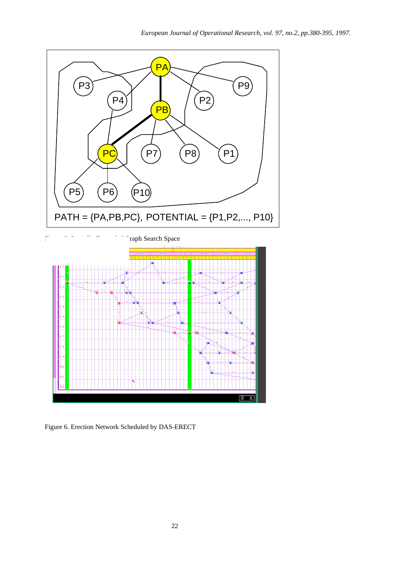



Figure 6. Erection Network Scheduled by DAS-ERECT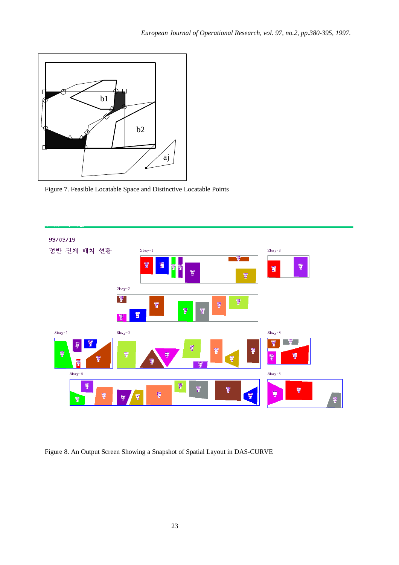

Figure 7. Feasible Locatable Space and Distinctive Locatable Points



Figure 8. An Output Screen Showing a Snapshot of Spatial Layout in DAS-CURVE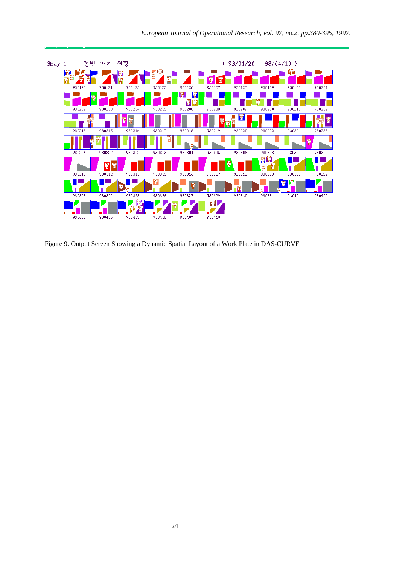

Figure 9. Output Screen Showing a Dynamic Spatial Layout of a Work Plate in DAS-CURVE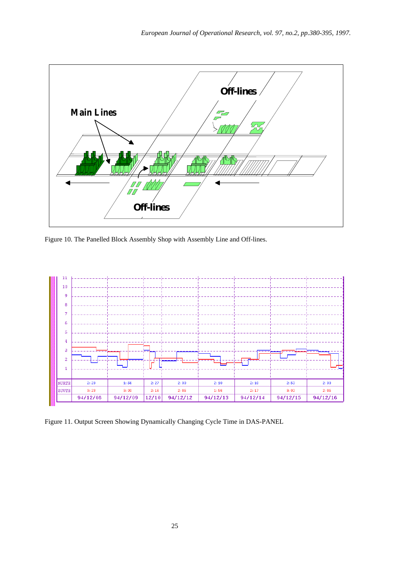

Figure 10. The Panelled Block Assembly Shop with Assembly Line and Off-lines.



Figure 11. Output Screen Showing Dynamically Changing Cycle Time in DAS-PANEL